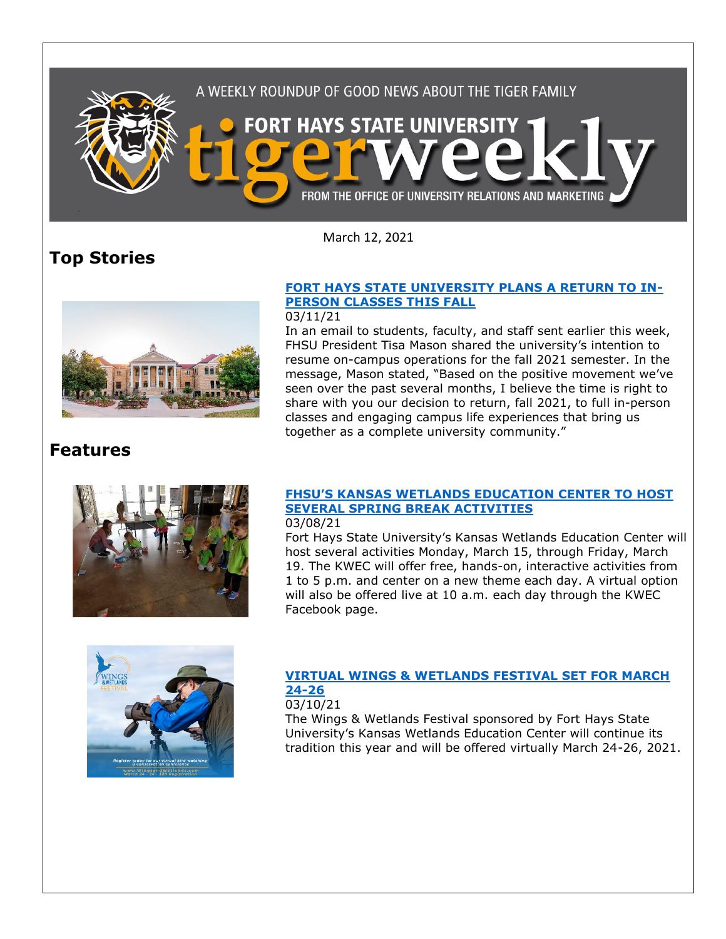

March 12, 2021

## **Top Stories**



## **[FORT HAYS STATE UNIVERSITY PLANS A RETURN TO IN-](https://fhsu.edu/news/2021/03/fort-hays-state-university-plans-a-return-to-in-person-classes-this-fall)[PERSON CLASSES THIS FALL](https://fhsu.edu/news/2021/03/fort-hays-state-university-plans-a-return-to-in-person-classes-this-fall)**

### 03/11/21

In an email to students, faculty, and staff sent earlier this week, FHSU President Tisa Mason shared the university's intention to resume on-campus operations for the fall 2021 semester. In the message, Mason stated, "Based on the positive movement we've seen over the past several months, I believe the time is right to share with you our decision to return, fall 2021, to full in-person classes and engaging campus life experiences that bring us together as a complete university community."

## **Features**



#### **[FHSU'S KANSAS WETLANDS EDUCATION CENTER TO HOST](https://fhsu.edu/news/2021/03/fhsus-kansas-wetlands-education-center-to-host-several-spring-break-activities)  [SEVERAL SPRING BREAK ACTIVITIES](https://fhsu.edu/news/2021/03/fhsus-kansas-wetlands-education-center-to-host-several-spring-break-activities)** 03/08/21

Fort Hays State University's Kansas Wetlands Education Center will host several activities Monday, March 15, through Friday, March 19. The KWEC will offer free, hands-on, interactive activities from 1 to 5 p.m. and center on a new theme each day. A virtual option will also be offered live at 10 a.m. each day through the KWEC Facebook page.



## **[VIRTUAL WINGS & WETLANDS FESTIVAL SET FOR MARCH](https://fhsu.edu/news/2021/03/virtual-wings-wetlands-festival-set-for-march-24-26)  [24-26](https://fhsu.edu/news/2021/03/virtual-wings-wetlands-festival-set-for-march-24-26)**

### 03/10/21

The Wings & Wetlands Festival sponsored by Fort Hays State University's Kansas Wetlands Education Center will continue its tradition this year and will be offered virtually March 24-26, 2021.